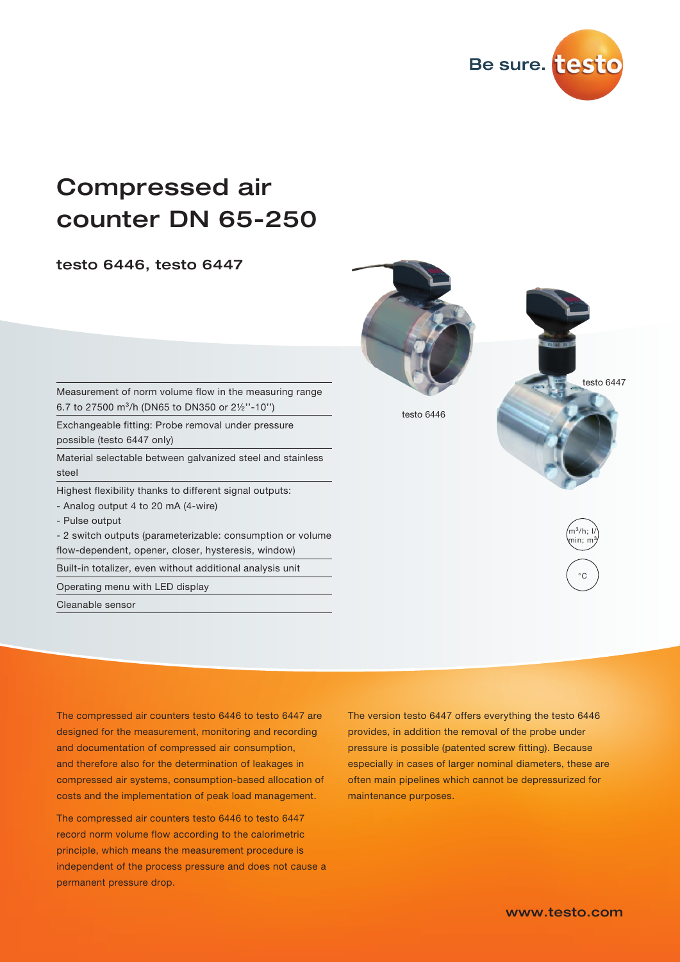

# Compressed air counter DN 65-250

testo 6446, testo 6447



Measurement of norm volume flow in the measuring range 6.7 to 27500 m³/h (DN65 to DN350 or 2½''-10'')

Exchangeable fitting: Probe removal under pressure possible (testo 6447 only)

Material selectable between galvanized steel and stainless steel

Highest flexibility thanks to different signal outputs:

- Analog output 4 to 20 mA (4-wire)

- Pulse output

- 2 switch outputs (parameterizable: consumption or volume flow-dependent, opener, closer, hysteresis, window)

Built-in totalizer, even without additional analysis unit

Operating menu with LED display

Cleanable sensor

The compressed air counters testo 6446 to testo 6447 are designed for the measurement, monitoring and recording and documentation of compressed air consumption, and therefore also for the determination of leakages in compressed air systems, consumption-based allocation of costs and the implementation of peak load management.

The compressed air counters testo 6446 to testo 6447 record norm volume flow according to the calorimetric principle, which means the measurement procedure is independent of the process pressure and does not cause a permanent pressure drop.

The version testo 6447 offers everything the testo 6446 provides, in addition the removal of the probe under pressure is possible (patented screw fitting). Because especially in cases of larger nominal diameters, these are often main pipelines which cannot be depressurized for maintenance purposes.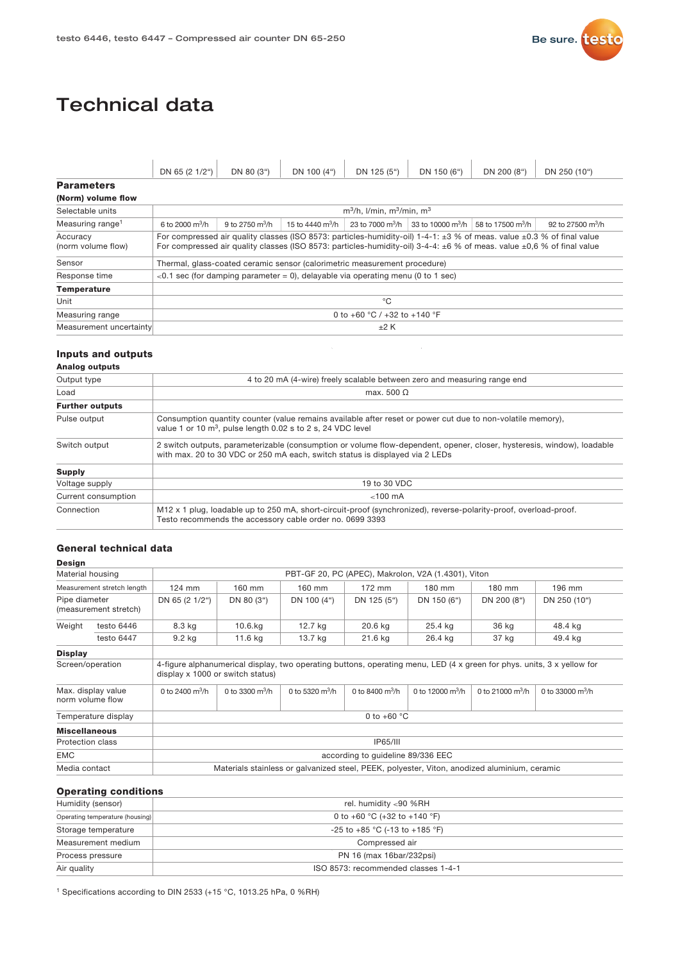

## Technical data

|                                | DN 65 (2 1/2")                                                                                                                                                                                                                                                       | DN 80 (3")                                                                            | DN 100 (4")                          | DN 125 (5") | DN 150 (6") | DN 200 (8")                                                                              | DN 250 (10")                  |  |  |  |
|--------------------------------|----------------------------------------------------------------------------------------------------------------------------------------------------------------------------------------------------------------------------------------------------------------------|---------------------------------------------------------------------------------------|--------------------------------------|-------------|-------------|------------------------------------------------------------------------------------------|-------------------------------|--|--|--|
| <b>Parameters</b>              |                                                                                                                                                                                                                                                                      |                                                                                       |                                      |             |             |                                                                                          |                               |  |  |  |
| (Norm) volume flow             |                                                                                                                                                                                                                                                                      |                                                                                       |                                      |             |             |                                                                                          |                               |  |  |  |
| Selectable units               | $m^3/h$ . I/min. $m^3/m$ in. $m^3$                                                                                                                                                                                                                                   |                                                                                       |                                      |             |             |                                                                                          |                               |  |  |  |
| Measuring range <sup>1</sup>   | 6 to 2000 $\rm m^3/h$                                                                                                                                                                                                                                                | 9 to 2750 $m^3/h$                                                                     | 15 to 4440 $\mathrm{m}^3/\mathrm{h}$ |             |             | 23 to 7000 m <sup>3</sup> /h 33 to 10000 m <sup>3</sup> /h 58 to 17500 m <sup>3</sup> /h | 92 to 27500 $\mathrm{m}^3$ /h |  |  |  |
| Accuracy<br>(norm volume flow) | For compressed air quality classes (ISO 8573: particles-humidity-oil) 1-4-1: $\pm 3$ % of meas. value $\pm 0.3$ % of final value<br>For compressed air quality classes (ISO 8573: particles-humidity-oil) 3-4-4: $\pm 6$ % of meas. value $\pm 0.6$ % of final value |                                                                                       |                                      |             |             |                                                                                          |                               |  |  |  |
| Sensor                         | Thermal, glass-coated ceramic sensor (calorimetric measurement procedure)                                                                                                                                                                                            |                                                                                       |                                      |             |             |                                                                                          |                               |  |  |  |
| Response time                  |                                                                                                                                                                                                                                                                      | $\leq$ 0.1 sec (for damping parameter = 0), delayable via operating menu (0 to 1 sec) |                                      |             |             |                                                                                          |                               |  |  |  |
| <b>Temperature</b>             |                                                                                                                                                                                                                                                                      |                                                                                       |                                      |             |             |                                                                                          |                               |  |  |  |
| Unit                           | °€                                                                                                                                                                                                                                                                   |                                                                                       |                                      |             |             |                                                                                          |                               |  |  |  |
| Measuring range                |                                                                                                                                                                                                                                                                      | 0 to +60 °C / +32 to +140 °F                                                          |                                      |             |             |                                                                                          |                               |  |  |  |
| Measurement uncertainty        |                                                                                                                                                                                                                                                                      | ±2 K                                                                                  |                                      |             |             |                                                                                          |                               |  |  |  |

#### Inputs and outputs

#### Analog outputs

| 4 to 20 mA (4-wire) freely scalable between zero and measuring range end                                                                                                                               |
|--------------------------------------------------------------------------------------------------------------------------------------------------------------------------------------------------------|
| max. 500 $\Omega$                                                                                                                                                                                      |
|                                                                                                                                                                                                        |
| Consumption quantity counter (value remains available after reset or power cut due to non-volatile memory),<br>value 1 or 10 m <sup>3</sup> , pulse length 0.02 s to 2 s, 24 VDC level                 |
| 2 switch outputs, parameterizable (consumption or volume flow-dependent, opener, closer, hysteresis, window), loadable<br>with max. 20 to 30 VDC or 250 mA each, switch status is displayed via 2 LEDs |
|                                                                                                                                                                                                        |
| 19 to 30 VDC                                                                                                                                                                                           |
| $<$ 100 mA                                                                                                                                                                                             |
| M <sub>12</sub> x 1 plug, loadable up to 250 mA, short-circuit-proof (synchronized), reverse-polarity-proof, overload-proof.<br>Testo recommends the accessory cable order no. 0699 3393               |
|                                                                                                                                                                                                        |

#### General technical data

#### Design

|                      | Material housing                       | PBT-GF 20, PC (APEC), Makrolon, V2A (1.4301), Viton |                       |                       |                                   |                        |                        |                                                                                                                        |  |
|----------------------|----------------------------------------|-----------------------------------------------------|-----------------------|-----------------------|-----------------------------------|------------------------|------------------------|------------------------------------------------------------------------------------------------------------------------|--|
|                      | Measurement stretch length             | $124$ mm                                            | 160 mm                | 160 mm                | 172 mm                            | 180 mm                 | 180 mm                 | 196 mm                                                                                                                 |  |
| Pipe diameter        | (measurement stretch)                  | DN 65 (2 1/2")                                      | DN 80 (3")            | DN 100 (4")           | DN 125 (5")                       | DN 150 (6")            | DN 200 (8")            | DN 250 (10")                                                                                                           |  |
| Weight               | testo 6446                             | 8.3 kg                                              | 10.6.kg               | 12.7 kg               | 20.6 kg                           | 25.4 kg                | 36 kg                  | 48.4 kg                                                                                                                |  |
|                      | testo 6447                             | 9.2 kg                                              | 11.6 kg               | 13.7 kg               | 21.6 kg                           | 26.4 kg                | 37 kg                  | 49.4 kg                                                                                                                |  |
| <b>Display</b>       |                                        |                                                     |                       |                       |                                   |                        |                        |                                                                                                                        |  |
|                      | Screen/operation                       |                                                     |                       |                       |                                   |                        |                        | 4-figure alphanumerical display, two operating buttons, operating menu, LED (4 x green for phys. units, 3 x yellow for |  |
|                      |                                        | display x 1000 or switch status)                    |                       |                       |                                   |                        |                        |                                                                                                                        |  |
|                      | Max. display value<br>norm volume flow | 0 to 2400 $\rm m^3/h$                               | 0 to 3300 $\rm m^3/h$ | 0 to 5320 $\rm m^3/h$ | 0 to 8400 $\rm m^3/h$             | 0 to 12000 $\rm m^3/h$ | 0 to 21000 $\rm m^3/h$ | 0 to 33000 $\rm m^3/h$                                                                                                 |  |
|                      | Temperature display                    |                                                     |                       |                       | 0 to $+60$ °C                     |                        |                        |                                                                                                                        |  |
| <b>Miscellaneous</b> |                                        |                                                     |                       |                       |                                   |                        |                        |                                                                                                                        |  |
| Protection class     |                                        |                                                     |                       |                       | <b>IP65/III</b>                   |                        |                        |                                                                                                                        |  |
| <b>EMC</b>           |                                        |                                                     |                       |                       | according to quideline 89/336 EEC |                        |                        |                                                                                                                        |  |

#### Operating conditions

| Humidity (sensor)               | rel. humidity <90 %RH               |
|---------------------------------|-------------------------------------|
| Operating temperature (housing) | 0 to +60 °C (+32 to +140 °F)        |
| Storage temperature             | -25 to +85 °C (-13 to +185 °F)      |
| Measurement medium              | Compressed air                      |
| Process pressure                | PN 16 (max 16bar/232psi)            |
| Air quality                     | ISO 8573: recommended classes 1-4-1 |

1 Specifications according to DIN 2533 (+15 °C, 1013.25 hPa, 0 %RH)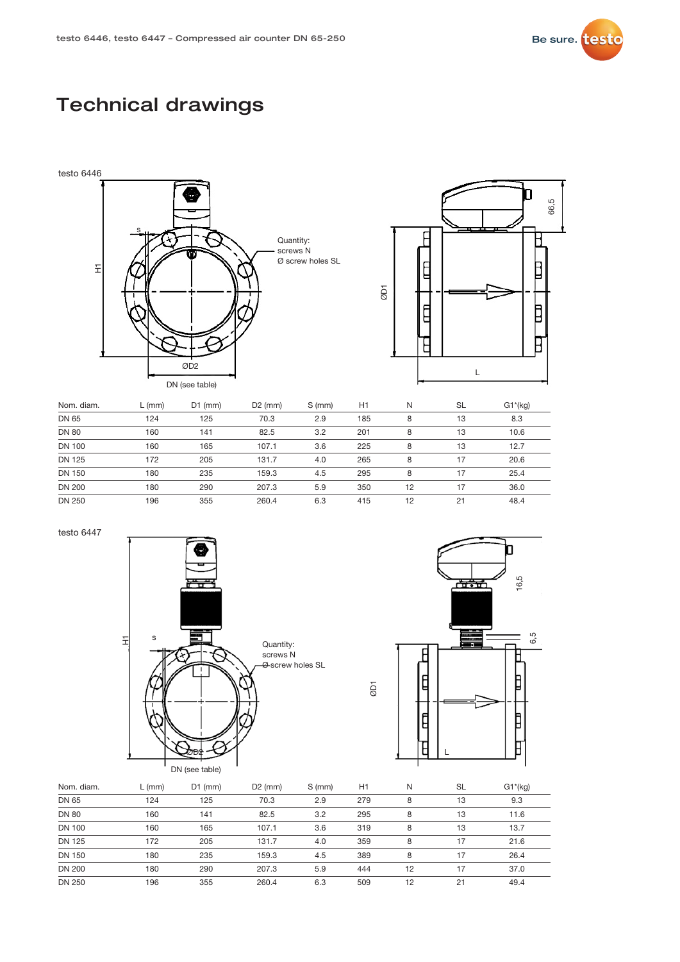

### Technical drawings





| Nom. diam.    | L (mm) | $D1$ (mm) | $D2$ (mm) | S (mm) | H1  | N  | <b>SL</b> | $G1*(kg)$ |
|---------------|--------|-----------|-----------|--------|-----|----|-----------|-----------|
| DN 65         | 124    | 125       | 70.3      | 2.9    | 185 | 8  | 13        | 8.3       |
| <b>DN 80</b>  | 160    | 141       | 82.5      | 3.2    | 201 | 8  | 13        | 10.6      |
| DN 100        | 160    | 165       | 107.1     | 3.6    | 225 | 8  | 13        | 12.7      |
| <b>DN 125</b> | 172    | 205       | 131.7     | 4.0    | 265 | 8  | 17        | 20.6      |
| <b>DN 150</b> | 180    | 235       | 159.3     | 4.5    | 295 | 8  | 17        | 25.4      |
| <b>DN 200</b> | 180    | 290       | 207.3     | 5.9    | 350 | 12 | 17        | 36.0      |
| <b>DN 250</b> | 196    | 355       | 260.4     | 6.3    | 415 | 12 | 21        | 48.4      |

testo 6447





| Nom. diam.    | $L$ (mm) | $D1$ (mm) | $D2$ (mm) | S (mm) | H1  | N  | <b>SL</b> | $G1*(kg)$ |
|---------------|----------|-----------|-----------|--------|-----|----|-----------|-----------|
| DN 65         | 124      | 125       | 70.3      | 2.9    | 279 | 8  | 13        | 9.3       |
| <b>DN 80</b>  | 160      | 141       | 82.5      | 3.2    | 295 | 8  | 13        | 11.6      |
| <b>DN 100</b> | 160      | 165       | 107.1     | 3.6    | 319 | 8  | 13        | 13.7      |
| <b>DN 125</b> | 172      | 205       | 131.7     | 4.0    | 359 | 8  | 17        | 21.6      |
| <b>DN 150</b> | 180      | 235       | 159.3     | 4.5    | 389 | 8  | 17        | 26.4      |
| <b>DN 200</b> | 180      | 290       | 207.3     | 5.9    | 444 | 12 | 17        | 37.0      |
| DN 250        | 196      | 355       | 260.4     | 6.3    | 509 | 12 | 21        | 49.4      |